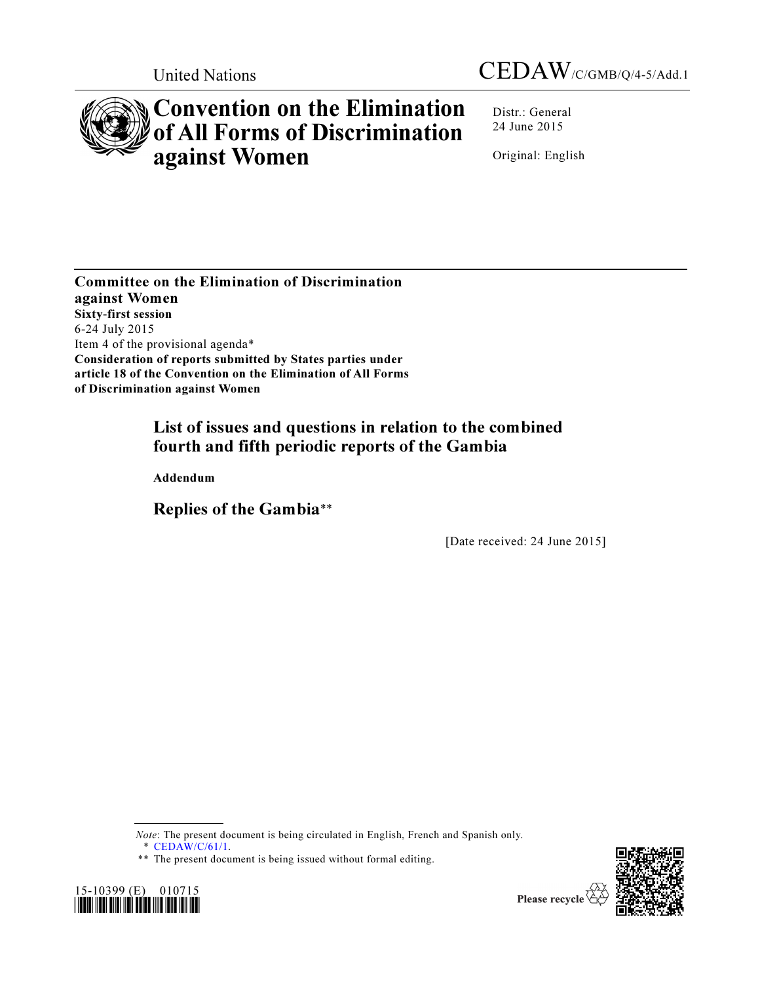

# Convention on the Elimination of All Forms of Discrimination against Women

Distr.: General 24 June 2015

Original: English

Committee on the Elimination of Discrimination against Women Sixty**-**first session 6-24 July 2015 Item 4 of the provisional agenda\* Consideration of reports submitted by States parties under article 18 of the Convention on the Elimination of All Forms of Discrimination against Women

## List of issues and questions in relation to the combined fourth and fifth periodic reports of the Gambia

Addendum

Replies of the Gambia\*\*

[Date received: 24 June 2015]

Note: The present document is being circulated in English, French and Spanish only.

\* CEDAW/C/61/1.

<sup>\*\*</sup> The present document is being issued without formal editing.



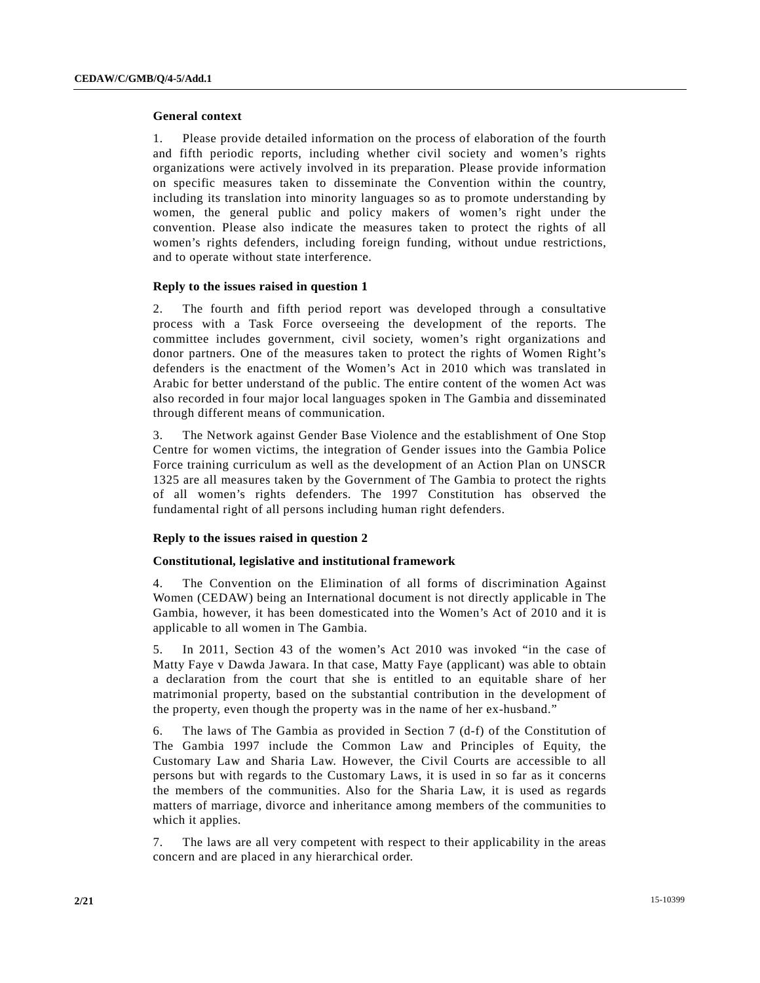#### **General context**

1. Please provide detailed information on the process of elaboration of the fourth and fifth periodic reports, including whether civil society and women's rights organizations were actively involved in its preparation. Please provide information on specific measures taken to disseminate the Convention within the country, including its translation into minority languages so as to promote understanding by women, the general public and policy makers of women's right under the convention. Please also indicate the measures taken to protect the rights of all women's rights defenders, including foreign funding, without undue restrictions, and to operate without state interference.

## **Reply to the issues raised in question 1**

2. The fourth and fifth period report was developed through a consultative process with a Task Force overseeing the development of the reports. The committee includes government, civil society, women's right organizations and donor partners. One of the measures taken to protect the rights of Women Right's defenders is the enactment of the Women's Act in 2010 which was translated in Arabic for better understand of the public. The entire content of the women Act was also recorded in four major local languages spoken in The Gambia and disseminated through different means of communication.

3. The Network against Gender Base Violence and the establishment of One Stop Centre for women victims, the integration of Gender issues into the Gambia Police Force training curriculum as well as the development of an Action Plan on UNSCR 1325 are all measures taken by the Government of The Gambia to protect the rights of all women's rights defenders. The 1997 Constitution has observed the fundamental right of all persons including human right defenders.

## **Reply to the issues raised in question 2**

#### **Constitutional, legislative and institutional framework**

4. The Convention on the Elimination of all forms of discrimination Against Women (CEDAW) being an International document is not directly applicable in The Gambia, however, it has been domesticated into the Women's Act of 2010 and it is applicable to all women in The Gambia.

5. In 2011, Section 43 of the women's Act 2010 was invoked "in the case of Matty Faye v Dawda Jawara. In that case, Matty Faye (applicant) was able to obtain a declaration from the court that she is entitled to an equitable share of her matrimonial property, based on the substantial contribution in the development of the property, even though the property was in the name of her ex-husband."

6. The laws of The Gambia as provided in Section 7 (d-f) of the Constitution of The Gambia 1997 include the Common Law and Principles of Equity, the Customary Law and Sharia Law. However, the Civil Courts are accessible to all persons but with regards to the Customary Laws, it is used in so far as it concerns the members of the communities. Also for the Sharia Law, it is used as regards matters of marriage, divorce and inheritance among members of the communities to which it applies.

7. The laws are all very competent with respect to their applicability in the areas concern and are placed in any hierarchical order.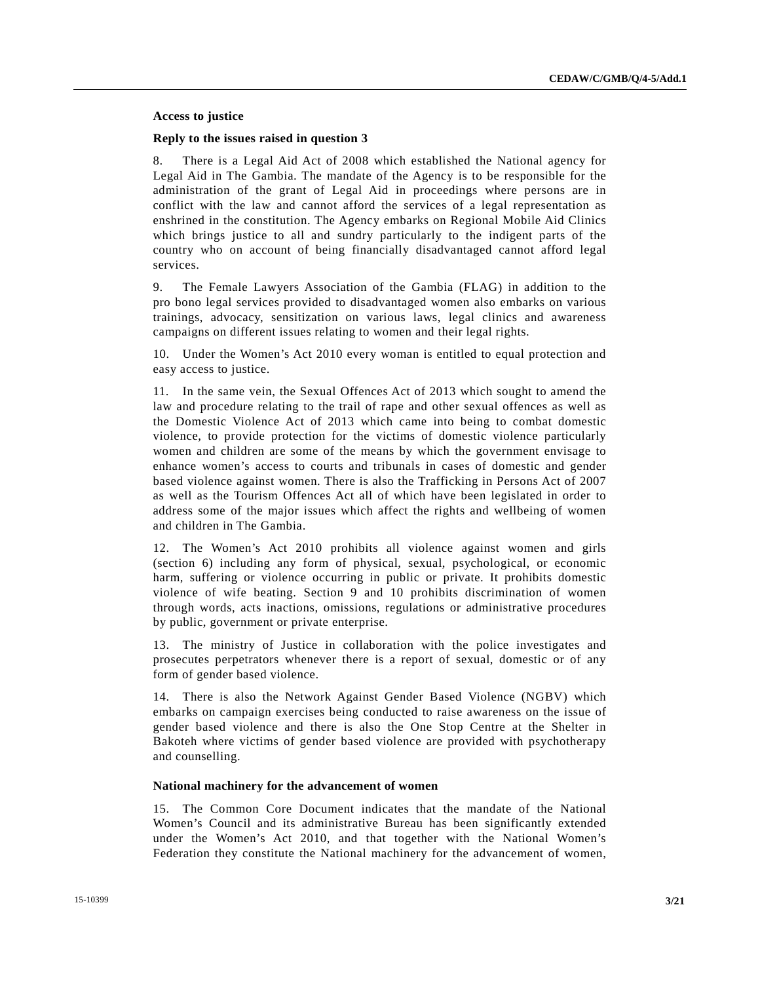## **Access to justice**

#### **Reply to the issues raised in question 3**

8. There is a Legal Aid Act of 2008 which established the National agency for Legal Aid in The Gambia. The mandate of the Agency is to be responsible for the administration of the grant of Legal Aid in proceedings where persons are in conflict with the law and cannot afford the services of a legal representation as enshrined in the constitution. The Agency embarks on Regional Mobile Aid Clinics which brings justice to all and sundry particularly to the indigent parts of the country who on account of being financially disadvantaged cannot afford legal services.

9. The Female Lawyers Association of the Gambia (FLAG) in addition to the pro bono legal services provided to disadvantaged women also embarks on various trainings, advocacy, sensitization on various laws, legal clinics and awareness campaigns on different issues relating to women and their legal rights.

10. Under the Women's Act 2010 every woman is entitled to equal protection and easy access to justice.

11. In the same vein, the Sexual Offences Act of 2013 which sought to amend the law and procedure relating to the trail of rape and other sexual offences as well as the Domestic Violence Act of 2013 which came into being to combat domestic violence, to provide protection for the victims of domestic violence particularly women and children are some of the means by which the government envisage to enhance women's access to courts and tribunals in cases of domestic and gender based violence against women. There is also the Trafficking in Persons Act of 2007 as well as the Tourism Offences Act all of which have been legislated in order to address some of the major issues which affect the rights and wellbeing of women and children in The Gambia.

12. The Women's Act 2010 prohibits all violence against women and girls (section 6) including any form of physical, sexual, psychological, or economic harm, suffering or violence occurring in public or private. It prohibits domestic violence of wife beating. Section 9 and 10 prohibits discrimination of women through words, acts inactions, omissions, regulations or administrative procedures by public, government or private enterprise.

13. The ministry of Justice in collaboration with the police investigates and prosecutes perpetrators whenever there is a report of sexual, domestic or of any form of gender based violence.

14. There is also the Network Against Gender Based Violence (NGBV) which embarks on campaign exercises being conducted to raise awareness on the issue of gender based violence and there is also the One Stop Centre at the Shelter in Bakoteh where victims of gender based violence are provided with psychotherapy and counselling.

#### **National machinery for the advancement of women**

15. The Common Core Document indicates that the mandate of the National Women's Council and its administrative Bureau has been significantly extended under the Women's Act 2010, and that together with the National Women's Federation they constitute the National machinery for the advancement of women,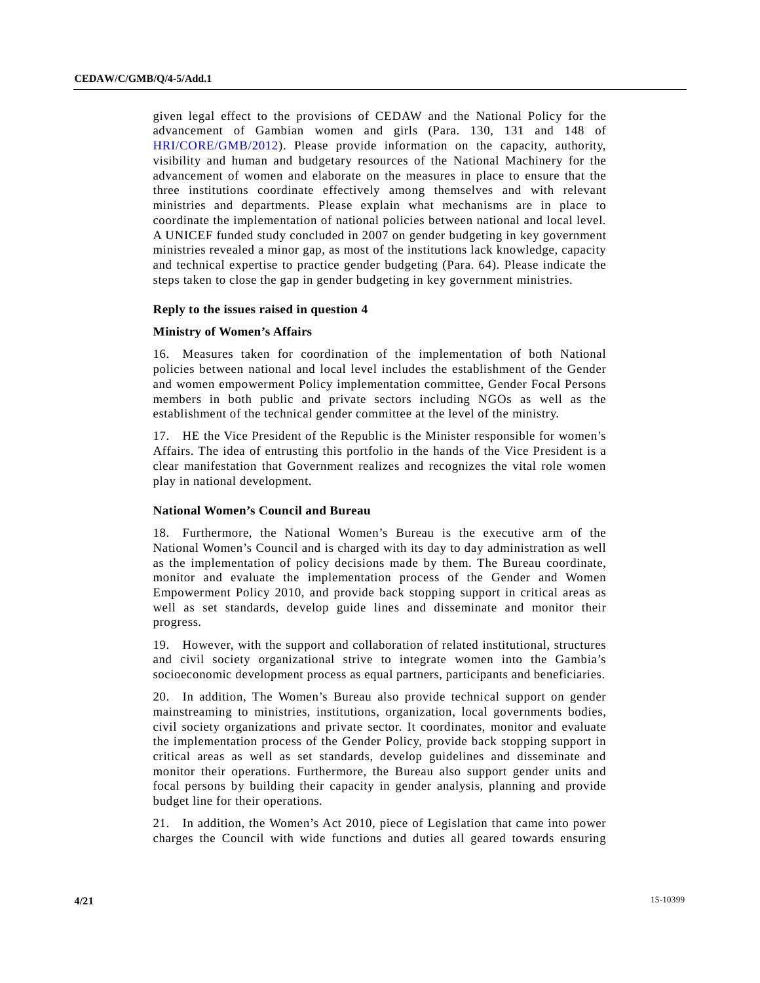given legal effect to the provisions of CEDAW and the National Policy for the advancement of Gambian women and girls (Para. 130, 131 and 148 of HRI/CORE/GMB/2012). Please provide information on the capacity, authority, visibility and human and budgetary resources of the National Machinery for the advancement of women and elaborate on the measures in place to ensure that the three institutions coordinate effectively among themselves and with relevant ministries and departments. Please explain what mechanisms are in place to coordinate the implementation of national policies between national and local level. A UNICEF funded study concluded in 2007 on gender budgeting in key government ministries revealed a minor gap, as most of the institutions lack knowledge, capacity and technical expertise to practice gender budgeting (Para. 64). Please indicate the steps taken to close the gap in gender budgeting in key government ministries.

## **Reply to the issues raised in question 4**

#### **Ministry of Women's Affairs**

16. Measures taken for coordination of the implementation of both National policies between national and local level includes the establishment of the Gender and women empowerment Policy implementation committee, Gender Focal Persons members in both public and private sectors including NGOs as well as the establishment of the technical gender committee at the level of the ministry.

17. HE the Vice President of the Republic is the Minister responsible for women's Affairs. The idea of entrusting this portfolio in the hands of the Vice President is a clear manifestation that Government realizes and recognizes the vital role women play in national development.

## **National Women's Council and Bureau**

18. Furthermore, the National Women's Bureau is the executive arm of the National Women's Council and is charged with its day to day administration as well as the implementation of policy decisions made by them. The Bureau coordinate, monitor and evaluate the implementation process of the Gender and Women Empowerment Policy 2010, and provide back stopping support in critical areas as well as set standards, develop guide lines and disseminate and monitor their progress.

19. However, with the support and collaboration of related institutional, structures and civil society organizational strive to integrate women into the Gambia's socioeconomic development process as equal partners, participants and beneficiaries.

20. In addition, The Women's Bureau also provide technical support on gender mainstreaming to ministries, institutions, organization, local governments bodies, civil society organizations and private sector. It coordinates, monitor and evaluate the implementation process of the Gender Policy, provide back stopping support in critical areas as well as set standards, develop guidelines and disseminate and monitor their operations. Furthermore, the Bureau also support gender units and focal persons by building their capacity in gender analysis, planning and provide budget line for their operations.

21. In addition, the Women's Act 2010, piece of Legislation that came into power charges the Council with wide functions and duties all geared towards ensuring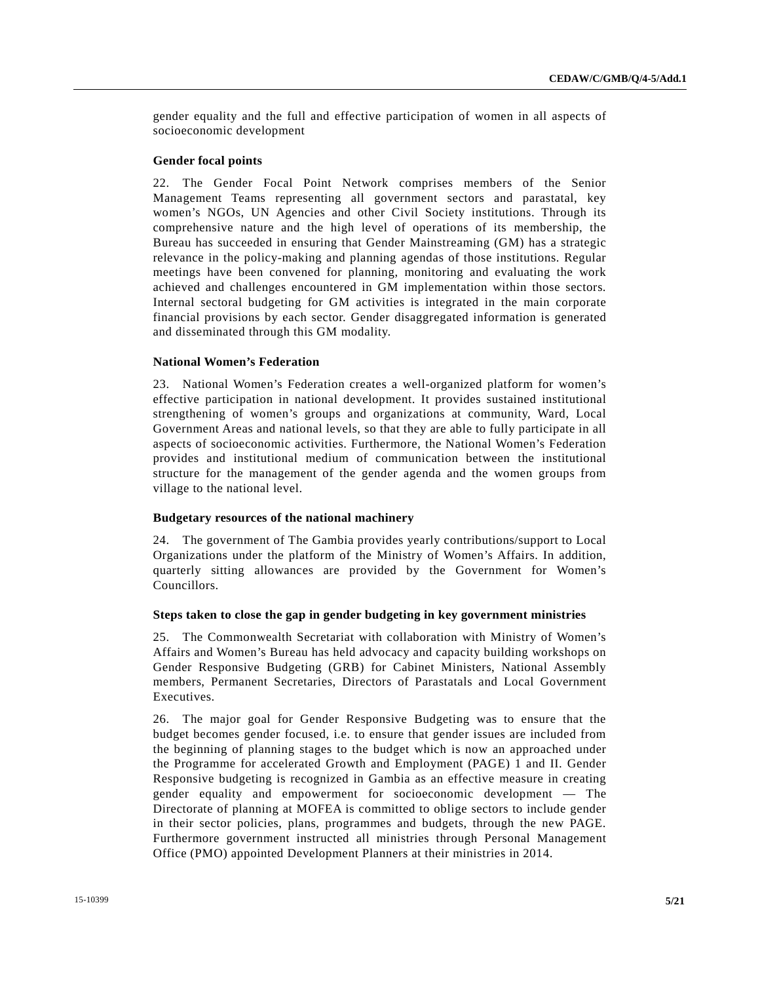gender equality and the full and effective participation of women in all aspects of socioeconomic development

#### **Gender focal points**

22. The Gender Focal Point Network comprises members of the Senior Management Teams representing all government sectors and parastatal, key women's NGOs, UN Agencies and other Civil Society institutions. Through its comprehensive nature and the high level of operations of its membership, the Bureau has succeeded in ensuring that Gender Mainstreaming (GM) has a strategic relevance in the policy-making and planning agendas of those institutions. Regular meetings have been convened for planning, monitoring and evaluating the work achieved and challenges encountered in GM implementation within those sectors. Internal sectoral budgeting for GM activities is integrated in the main corporate financial provisions by each sector. Gender disaggregated information is generated and disseminated through this GM modality.

## **National Women's Federation**

23. National Women's Federation creates a well-organized platform for women's effective participation in national development. It provides sustained institutional strengthening of women's groups and organizations at community, Ward, Local Government Areas and national levels, so that they are able to fully participate in all aspects of socioeconomic activities. Furthermore, the National Women's Federation provides and institutional medium of communication between the institutional structure for the management of the gender agenda and the women groups from village to the national level.

## **Budgetary resources of the national machinery**

24. The government of The Gambia provides yearly contributions/support to Local Organizations under the platform of the Ministry of Women's Affairs. In addition, quarterly sitting allowances are provided by the Government for Women's Councillors.

#### **Steps taken to close the gap in gender budgeting in key government ministries**

25. The Commonwealth Secretariat with collaboration with Ministry of Women's Affairs and Women's Bureau has held advocacy and capacity building workshops on Gender Responsive Budgeting (GRB) for Cabinet Ministers, National Assembly members, Permanent Secretaries, Directors of Parastatals and Local Government Executives.

26. The major goal for Gender Responsive Budgeting was to ensure that the budget becomes gender focused, i.e. to ensure that gender issues are included from the beginning of planning stages to the budget which is now an approached under the Programme for accelerated Growth and Employment (PAGE) 1 and II. Gender Responsive budgeting is recognized in Gambia as an effective measure in creating gender equality and empowerment for socioeconomic development — The Directorate of planning at MOFEA is committed to oblige sectors to include gender in their sector policies, plans, programmes and budgets, through the new PAGE. Furthermore government instructed all ministries through Personal Management Office (PMO) appointed Development Planners at their ministries in 2014.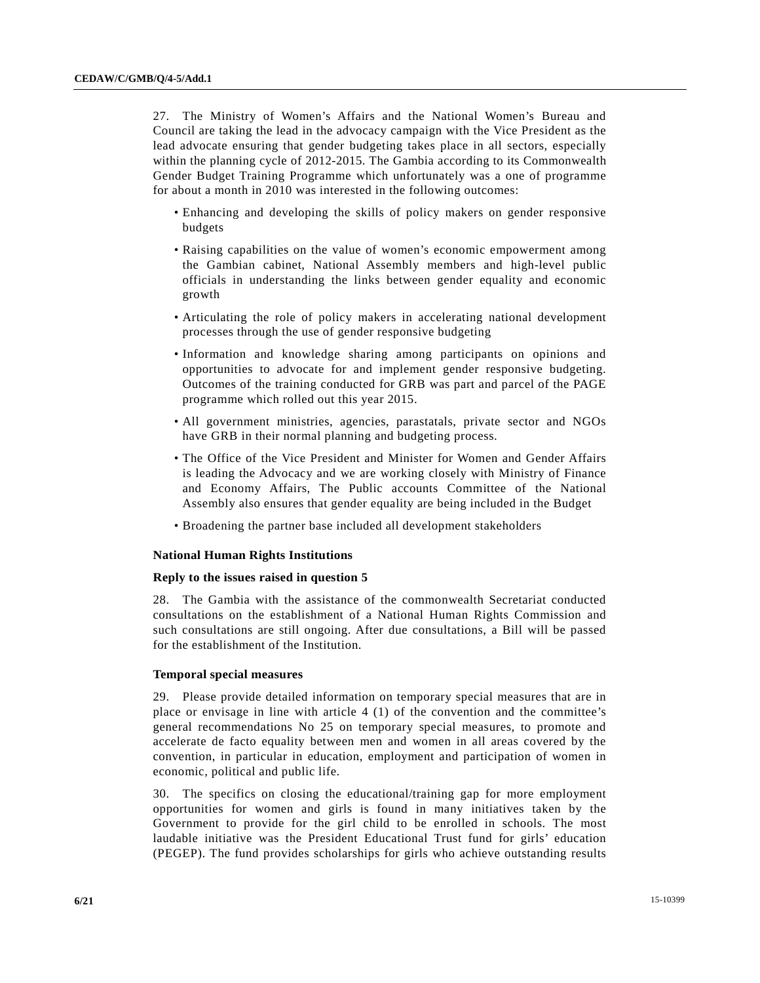27. The Ministry of Women's Affairs and the National Women's Bureau and Council are taking the lead in the advocacy campaign with the Vice President as the lead advocate ensuring that gender budgeting takes place in all sectors, especially within the planning cycle of 2012-2015. The Gambia according to its Commonwealth Gender Budget Training Programme which unfortunately was a one of programme for about a month in 2010 was interested in the following outcomes:

- Enhancing and developing the skills of policy makers on gender responsive budgets
- Raising capabilities on the value of women's economic empowerment among the Gambian cabinet, National Assembly members and high-level public officials in understanding the links between gender equality and economic growth
- Articulating the role of policy makers in accelerating national development processes through the use of gender responsive budgeting
- Information and knowledge sharing among participants on opinions and opportunities to advocate for and implement gender responsive budgeting. Outcomes of the training conducted for GRB was part and parcel of the PAGE programme which rolled out this year 2015.
- All government ministries, agencies, parastatals, private sector and NGOs have GRB in their normal planning and budgeting process.
- The Office of the Vice President and Minister for Women and Gender Affairs is leading the Advocacy and we are working closely with Ministry of Finance and Economy Affairs, The Public accounts Committee of the National Assembly also ensures that gender equality are being included in the Budget
- Broadening the partner base included all development stakeholders

#### **National Human Rights Institutions**

#### **Reply to the issues raised in question 5**

28. The Gambia with the assistance of the commonwealth Secretariat conducted consultations on the establishment of a National Human Rights Commission and such consultations are still ongoing. After due consultations, a Bill will be passed for the establishment of the Institution.

#### **Temporal special measures**

29. Please provide detailed information on temporary special measures that are in place or envisage in line with article 4 (1) of the convention and the committee's general recommendations No 25 on temporary special measures, to promote and accelerate de facto equality between men and women in all areas covered by the convention, in particular in education, employment and participation of women in economic, political and public life.

30. The specifics on closing the educational/training gap for more employment opportunities for women and girls is found in many initiatives taken by the Government to provide for the girl child to be enrolled in schools. The most laudable initiative was the President Educational Trust fund for girls' education (PEGEP). The fund provides scholarships for girls who achieve outstanding results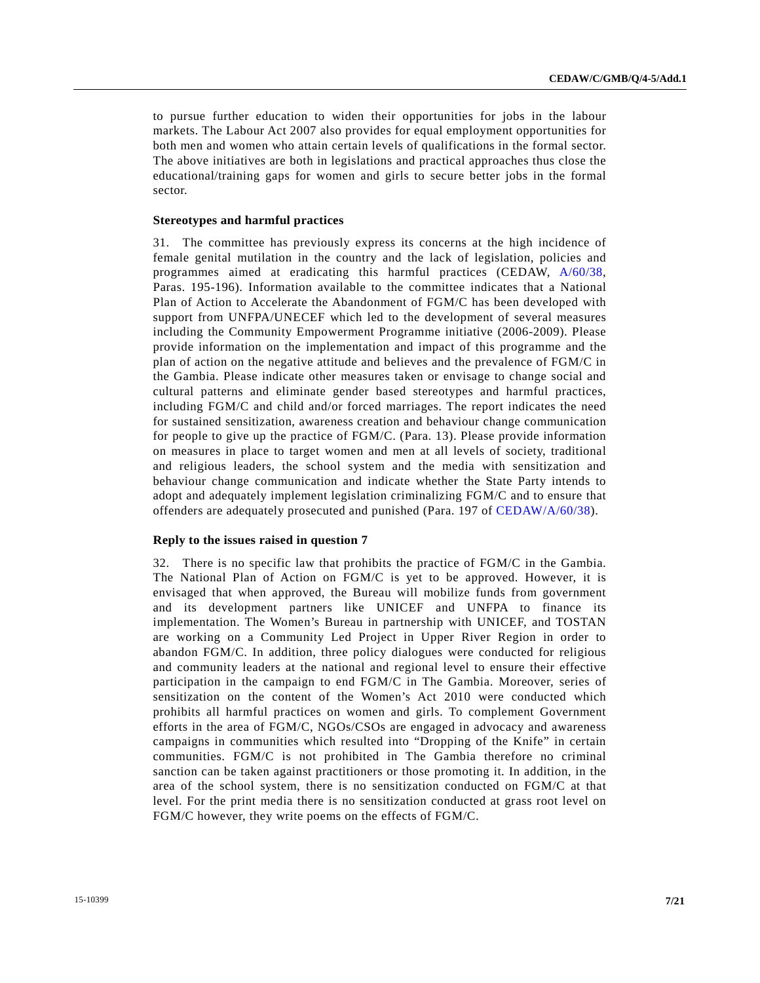to pursue further education to widen their opportunities for jobs in the labour markets. The Labour Act 2007 also provides for equal employment opportunities for both men and women who attain certain levels of qualifications in the formal sector. The above initiatives are both in legislations and practical approaches thus close the educational/training gaps for women and girls to secure better jobs in the formal sector.

#### **Stereotypes and harmful practices**

31. The committee has previously express its concerns at the high incidence of female genital mutilation in the country and the lack of legislation, policies and programmes aimed at eradicating this harmful practices (CEDAW, A/60/38, Paras. 195-196). Information available to the committee indicates that a National Plan of Action to Accelerate the Abandonment of FGM/C has been developed with support from UNFPA/UNECEF which led to the development of several measures including the Community Empowerment Programme initiative (2006-2009). Please provide information on the implementation and impact of this programme and the plan of action on the negative attitude and believes and the prevalence of FGM/C in the Gambia. Please indicate other measures taken or envisage to change social and cultural patterns and eliminate gender based stereotypes and harmful practices, including FGM/C and child and/or forced marriages. The report indicates the need for sustained sensitization, awareness creation and behaviour change communication for people to give up the practice of FGM/C. (Para. 13). Please provide information on measures in place to target women and men at all levels of society, traditional and religious leaders, the school system and the media with sensitization and behaviour change communication and indicate whether the State Party intends to adopt and adequately implement legislation criminalizing FGM/C and to ensure that offenders are adequately prosecuted and punished (Para. 197 of CEDAW/A/60/38).

#### **Reply to the issues raised in question 7**

32. There is no specific law that prohibits the practice of FGM/C in the Gambia. The National Plan of Action on FGM/C is yet to be approved. However, it is envisaged that when approved, the Bureau will mobilize funds from government and its development partners like UNICEF and UNFPA to finance its implementation. The Women's Bureau in partnership with UNICEF, and TOSTAN are working on a Community Led Project in Upper River Region in order to abandon FGM/C. In addition, three policy dialogues were conducted for religious and community leaders at the national and regional level to ensure their effective participation in the campaign to end FGM/C in The Gambia. Moreover, series of sensitization on the content of the Women's Act 2010 were conducted which prohibits all harmful practices on women and girls. To complement Government efforts in the area of FGM/C, NGOs/CSOs are engaged in advocacy and awareness campaigns in communities which resulted into "Dropping of the Knife" in certain communities. FGM/C is not prohibited in The Gambia therefore no criminal sanction can be taken against practitioners or those promoting it. In addition, in the area of the school system, there is no sensitization conducted on FGM/C at that level. For the print media there is no sensitization conducted at grass root level on FGM/C however, they write poems on the effects of FGM/C.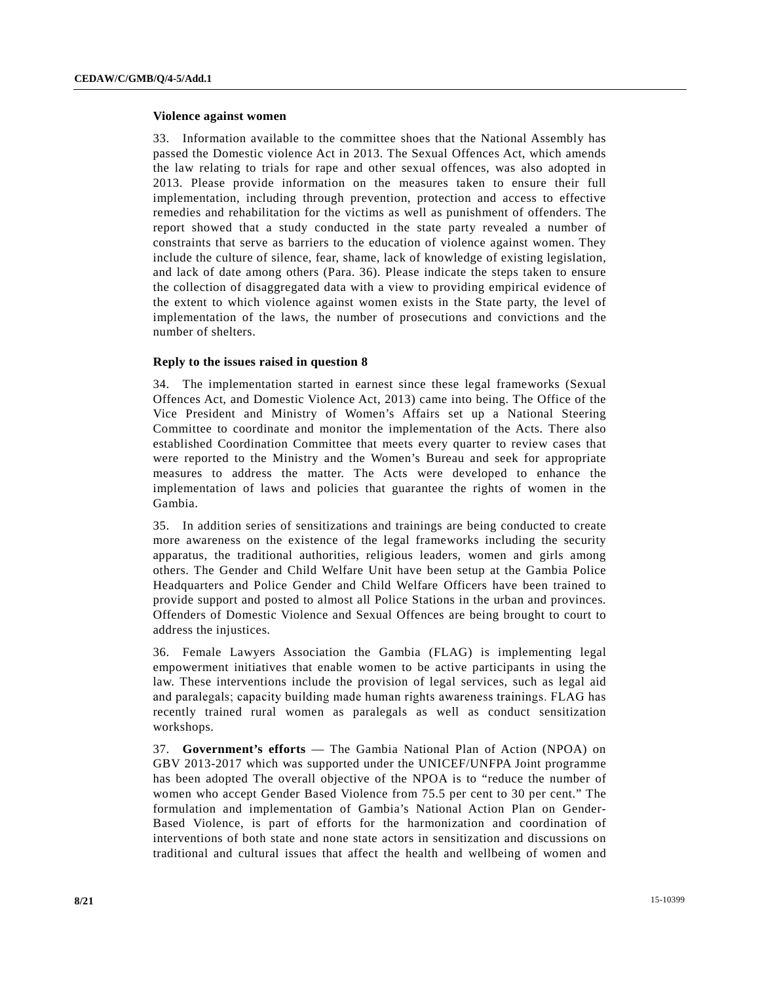#### **Violence against women**

33. Information available to the committee shoes that the National Assembly has passed the Domestic violence Act in 2013. The Sexual Offences Act, which amends the law relating to trials for rape and other sexual offences, was also adopted in 2013. Please provide information on the measures taken to ensure their full implementation, including through prevention, protection and access to effective remedies and rehabilitation for the victims as well as punishment of offenders. The report showed that a study conducted in the state party revealed a number of constraints that serve as barriers to the education of violence against women. They include the culture of silence, fear, shame, lack of knowledge of existing legislation, and lack of date among others (Para. 36). Please indicate the steps taken to ensure the collection of disaggregated data with a view to providing empirical evidence of the extent to which violence against women exists in the State party, the level of implementation of the laws, the number of prosecutions and convictions and the number of shelters.

## **Reply to the issues raised in question 8**

34. The implementation started in earnest since these legal frameworks (Sexual Offences Act, and Domestic Violence Act, 2013) came into being. The Office of the Vice President and Ministry of Women's Affairs set up a National Steering Committee to coordinate and monitor the implementation of the Acts. There also established Coordination Committee that meets every quarter to review cases that were reported to the Ministry and the Women's Bureau and seek for appropriate measures to address the matter. The Acts were developed to enhance the implementation of laws and policies that guarantee the rights of women in the Gambia.

35. In addition series of sensitizations and trainings are being conducted to create more awareness on the existence of the legal frameworks including the security apparatus, the traditional authorities, religious leaders, women and girls among others. The Gender and Child Welfare Unit have been setup at the Gambia Police Headquarters and Police Gender and Child Welfare Officers have been trained to provide support and posted to almost all Police Stations in the urban and provinces. Offenders of Domestic Violence and Sexual Offences are being brought to court to address the injustices.

36. Female Lawyers Association the Gambia (FLAG) is implementing legal empowerment initiatives that enable women to be active participants in using the law. These interventions include the provision of legal services, such as legal aid and paralegals; capacity building made human rights awareness trainings. FLAG has recently trained rural women as paralegals as well as conduct sensitization workshops.

37. **Government's efforts** — The Gambia National Plan of Action (NPOA) on GBV 2013-2017 which was supported under the UNICEF/UNFPA Joint programme has been adopted The overall objective of the NPOA is to "reduce the number of women who accept Gender Based Violence from 75.5 per cent to 30 per cent." The formulation and implementation of Gambia's National Action Plan on Gender-Based Violence, is part of efforts for the harmonization and coordination of interventions of both state and none state actors in sensitization and discussions on traditional and cultural issues that affect the health and wellbeing of women and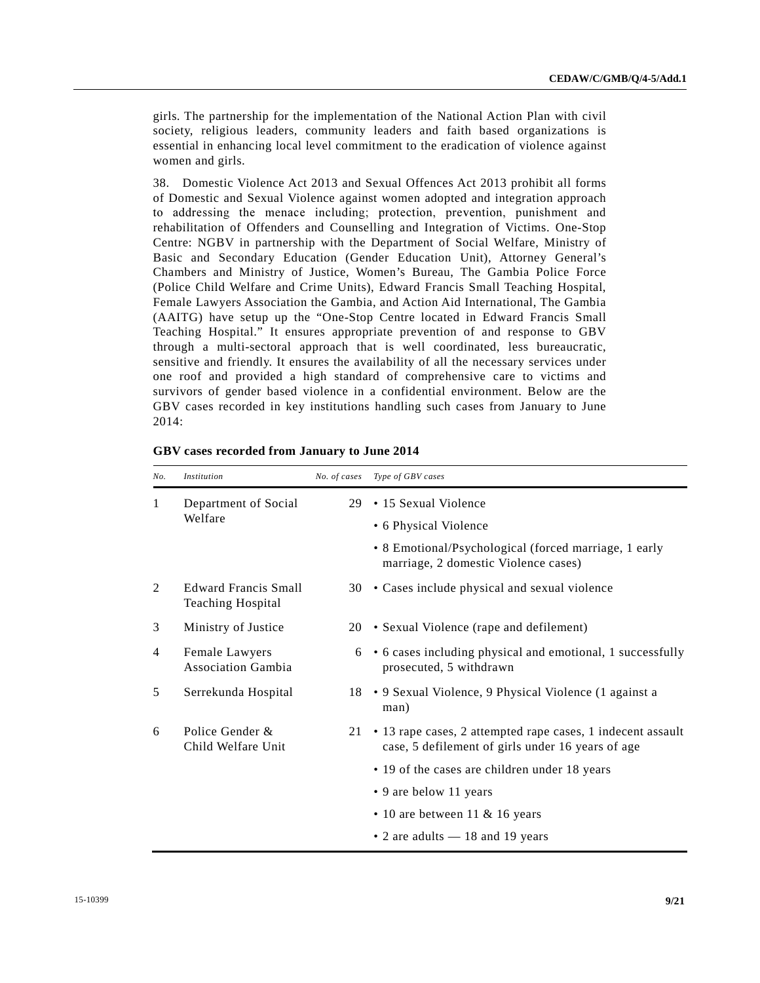girls. The partnership for the implementation of the National Action Plan with civil society, religious leaders, community leaders and faith based organizations is essential in enhancing local level commitment to the eradication of violence against women and girls.

38. Domestic Violence Act 2013 and Sexual Offences Act 2013 prohibit all forms of Domestic and Sexual Violence against women adopted and integration approach to addressing the menace including; protection, prevention, punishment and rehabilitation of Offenders and Counselling and Integration of Victims. One-Stop Centre: NGBV in partnership with the Department of Social Welfare, Ministry of Basic and Secondary Education (Gender Education Unit), Attorney General's Chambers and Ministry of Justice, Women's Bureau, The Gambia Police Force (Police Child Welfare and Crime Units), Edward Francis Small Teaching Hospital, Female Lawyers Association the Gambia, and Action Aid International, The Gambia (AAITG) have setup up the "One-Stop Centre located in Edward Francis Small Teaching Hospital." It ensures appropriate prevention of and response to GBV through a multi-sectoral approach that is well coordinated, less bureaucratic, sensitive and friendly. It ensures the availability of all the necessary services under one roof and provided a high standard of comprehensive care to victims and survivors of gender based violence in a confidential environment. Below are the GBV cases recorded in key institutions handling such cases from January to June 2014:

| No. | Institution                                             | No. of cases | Type of GBV cases                                                                                                |
|-----|---------------------------------------------------------|--------------|------------------------------------------------------------------------------------------------------------------|
| 1   | Department of Social<br>Welfare                         | 29           | • 15 Sexual Violence<br>• 6 Physical Violence                                                                    |
|     |                                                         |              | • 8 Emotional/Psychological (forced marriage, 1 early<br>marriage, 2 domestic Violence cases)                    |
| 2   | <b>Edward Francis Small</b><br><b>Teaching Hospital</b> | 30           | • Cases include physical and sexual violence                                                                     |
| 3   | Ministry of Justice                                     |              | 20 • Sexual Violence (rape and defilement)                                                                       |
| 4   | Female Lawyers<br><b>Association Gambia</b>             |              | 6 • 6 cases including physical and emotional, 1 successfully<br>prosecuted, 5 withdrawn                          |
| 5   | Serrekunda Hospital                                     |              | 18 • 9 Sexual Violence, 9 Physical Violence (1 against a<br>man)                                                 |
| 6   | Police Gender &<br>Child Welfare Unit                   | 21           | • 13 rape cases, 2 attempted rape cases, 1 indecent assault<br>case, 5 defilement of girls under 16 years of age |
|     |                                                         |              | • 19 of the cases are children under 18 years                                                                    |
|     |                                                         |              | • 9 are below 11 years                                                                                           |
|     |                                                         |              | $\cdot$ 10 are between 11 & 16 years                                                                             |
|     |                                                         |              | $\cdot$ 2 are adults $-$ 18 and 19 years                                                                         |

|  |  |  | GBV cases recorded from January to June 2014 |  |
|--|--|--|----------------------------------------------|--|
|--|--|--|----------------------------------------------|--|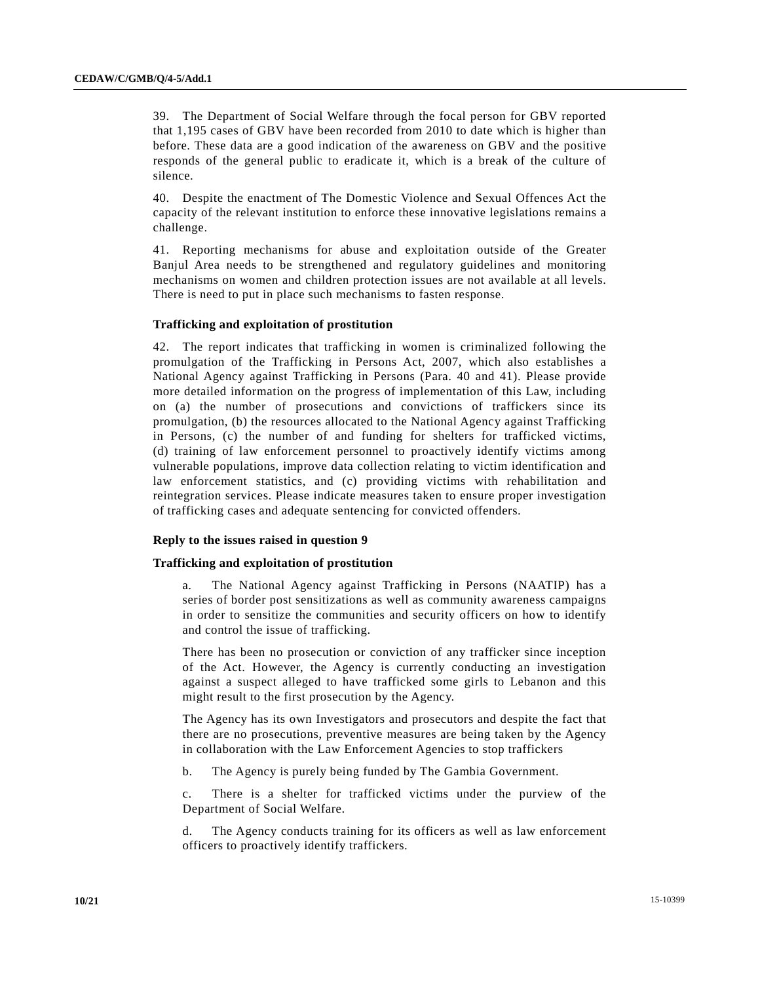39. The Department of Social Welfare through the focal person for GBV reported that 1,195 cases of GBV have been recorded from 2010 to date which is higher than before. These data are a good indication of the awareness on GBV and the positive responds of the general public to eradicate it, which is a break of the culture of silence.

40. Despite the enactment of The Domestic Violence and Sexual Offences Act the capacity of the relevant institution to enforce these innovative legislations remains a challenge.

41. Reporting mechanisms for abuse and exploitation outside of the Greater Banjul Area needs to be strengthened and regulatory guidelines and monitoring mechanisms on women and children protection issues are not available at all levels. There is need to put in place such mechanisms to fasten response.

## **Trafficking and exploitation of prostitution**

42. The report indicates that trafficking in women is criminalized following the promulgation of the Trafficking in Persons Act, 2007, which also establishes a National Agency against Trafficking in Persons (Para. 40 and 41). Please provide more detailed information on the progress of implementation of this Law, including on (a) the number of prosecutions and convictions of traffickers since its promulgation, (b) the resources allocated to the National Agency against Trafficking in Persons, (c) the number of and funding for shelters for trafficked victims, (d) training of law enforcement personnel to proactively identify victims among vulnerable populations, improve data collection relating to victim identification and law enforcement statistics, and (c) providing victims with rehabilitation and reintegration services. Please indicate measures taken to ensure proper investigation of trafficking cases and adequate sentencing for convicted offenders.

## **Reply to the issues raised in question 9**

## **Trafficking and exploitation of prostitution**

 a. The National Agency against Trafficking in Persons (NAATIP) has a series of border post sensitizations as well as community awareness campaigns in order to sensitize the communities and security officers on how to identify and control the issue of trafficking.

 There has been no prosecution or conviction of any trafficker since inception of the Act. However, the Agency is currently conducting an investigation against a suspect alleged to have trafficked some girls to Lebanon and this might result to the first prosecution by the Agency.

 The Agency has its own Investigators and prosecutors and despite the fact that there are no prosecutions, preventive measures are being taken by the Agency in collaboration with the Law Enforcement Agencies to stop traffickers

b. The Agency is purely being funded by The Gambia Government.

 c. There is a shelter for trafficked victims under the purview of the Department of Social Welfare.

 d. The Agency conducts training for its officers as well as law enforcement officers to proactively identify traffickers.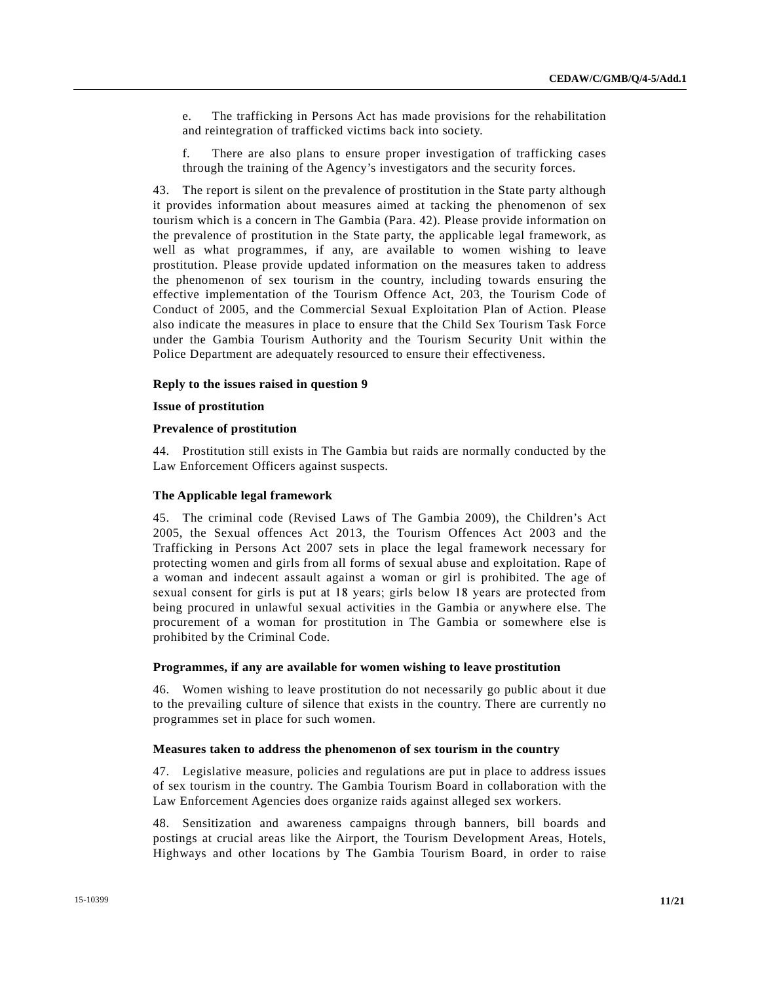- e. The trafficking in Persons Act has made provisions for the rehabilitation and reintegration of trafficked victims back into society.
- f. There are also plans to ensure proper investigation of trafficking cases through the training of the Agency's investigators and the security forces.

43. The report is silent on the prevalence of prostitution in the State party although it provides information about measures aimed at tacking the phenomenon of sex tourism which is a concern in The Gambia (Para. 42). Please provide information on the prevalence of prostitution in the State party, the applicable legal framework, as well as what programmes, if any, are available to women wishing to leave prostitution. Please provide updated information on the measures taken to address the phenomenon of sex tourism in the country, including towards ensuring the effective implementation of the Tourism Offence Act, 203, the Tourism Code of Conduct of 2005, and the Commercial Sexual Exploitation Plan of Action. Please also indicate the measures in place to ensure that the Child Sex Tourism Task Force under the Gambia Tourism Authority and the Tourism Security Unit within the Police Department are adequately resourced to ensure their effectiveness.

#### **Reply to the issues raised in question 9**

#### **Issue of prostitution**

#### **Prevalence of prostitution**

44. Prostitution still exists in The Gambia but raids are normally conducted by the Law Enforcement Officers against suspects.

#### **The Applicable legal framework**

45. The criminal code (Revised Laws of The Gambia 2009), the Children's Act 2005, the Sexual offences Act 2013, the Tourism Offences Act 2003 and the Trafficking in Persons Act 2007 sets in place the legal framework necessary for protecting women and girls from all forms of sexual abuse and exploitation. Rape of a woman and indecent assault against a woman or girl is prohibited. The age of sexual consent for girls is put at 18 years; girls below 18 years are protected from being procured in unlawful sexual activities in the Gambia or anywhere else. The procurement of a woman for prostitution in The Gambia or somewhere else is prohibited by the Criminal Code.

#### **Programmes, if any are available for women wishing to leave prostitution**

46. Women wishing to leave prostitution do not necessarily go public about it due to the prevailing culture of silence that exists in the country. There are currently no programmes set in place for such women.

#### **Measures taken to address the phenomenon of sex tourism in the country**

47. Legislative measure, policies and regulations are put in place to address issues of sex tourism in the country. The Gambia Tourism Board in collaboration with the Law Enforcement Agencies does organize raids against alleged sex workers.

48. Sensitization and awareness campaigns through banners, bill boards and postings at crucial areas like the Airport, the Tourism Development Areas, Hotels, Highways and other locations by The Gambia Tourism Board, in order to raise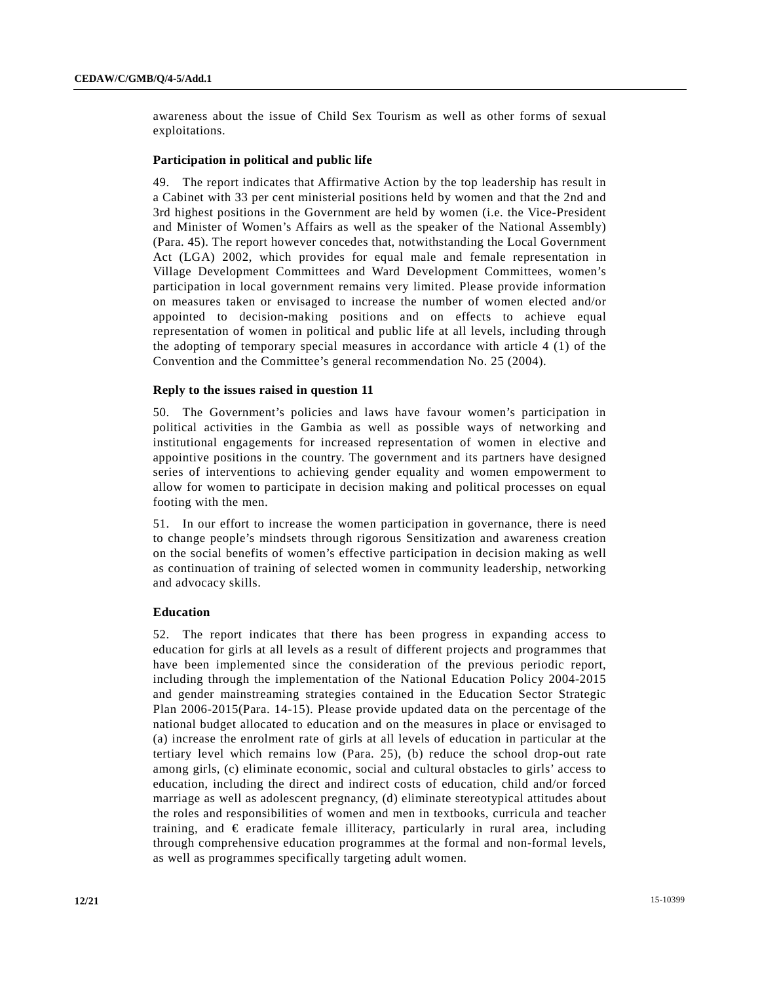awareness about the issue of Child Sex Tourism as well as other forms of sexual exploitations.

#### **Participation in political and public life**

49. The report indicates that Affirmative Action by the top leadership has result in a Cabinet with 33 per cent ministerial positions held by women and that the 2nd and 3rd highest positions in the Government are held by women (i.e. the Vice-President and Minister of Women's Affairs as well as the speaker of the National Assembly) (Para. 45). The report however concedes that, notwithstanding the Local Government Act (LGA) 2002, which provides for equal male and female representation in Village Development Committees and Ward Development Committees, women's participation in local government remains very limited. Please provide information on measures taken or envisaged to increase the number of women elected and/or appointed to decision-making positions and on effects to achieve equal representation of women in political and public life at all levels, including through the adopting of temporary special measures in accordance with article 4 (1) of the Convention and the Committee's general recommendation No. 25 (2004).

#### **Reply to the issues raised in question 11**

50. The Government's policies and laws have favour women's participation in political activities in the Gambia as well as possible ways of networking and institutional engagements for increased representation of women in elective and appointive positions in the country. The government and its partners have designed series of interventions to achieving gender equality and women empowerment to allow for women to participate in decision making and political processes on equal footing with the men.

51. In our effort to increase the women participation in governance, there is need to change people's mindsets through rigorous Sensitization and awareness creation on the social benefits of women's effective participation in decision making as well as continuation of training of selected women in community leadership, networking and advocacy skills.

#### **Education**

52. The report indicates that there has been progress in expanding access to education for girls at all levels as a result of different projects and programmes that have been implemented since the consideration of the previous periodic report, including through the implementation of the National Education Policy 2004-2015 and gender mainstreaming strategies contained in the Education Sector Strategic Plan 2006-2015(Para. 14-15). Please provide updated data on the percentage of the national budget allocated to education and on the measures in place or envisaged to (a) increase the enrolment rate of girls at all levels of education in particular at the tertiary level which remains low (Para. 25), (b) reduce the school drop-out rate among girls, (c) eliminate economic, social and cultural obstacles to girls' access to education, including the direct and indirect costs of education, child and/or forced marriage as well as adolescent pregnancy, (d) eliminate stereotypical attitudes about the roles and responsibilities of women and men in textbooks, curricula and teacher training, and  $\epsilon$  eradicate female illiteracy, particularly in rural area, including through comprehensive education programmes at the formal and non-formal levels, as well as programmes specifically targeting adult women.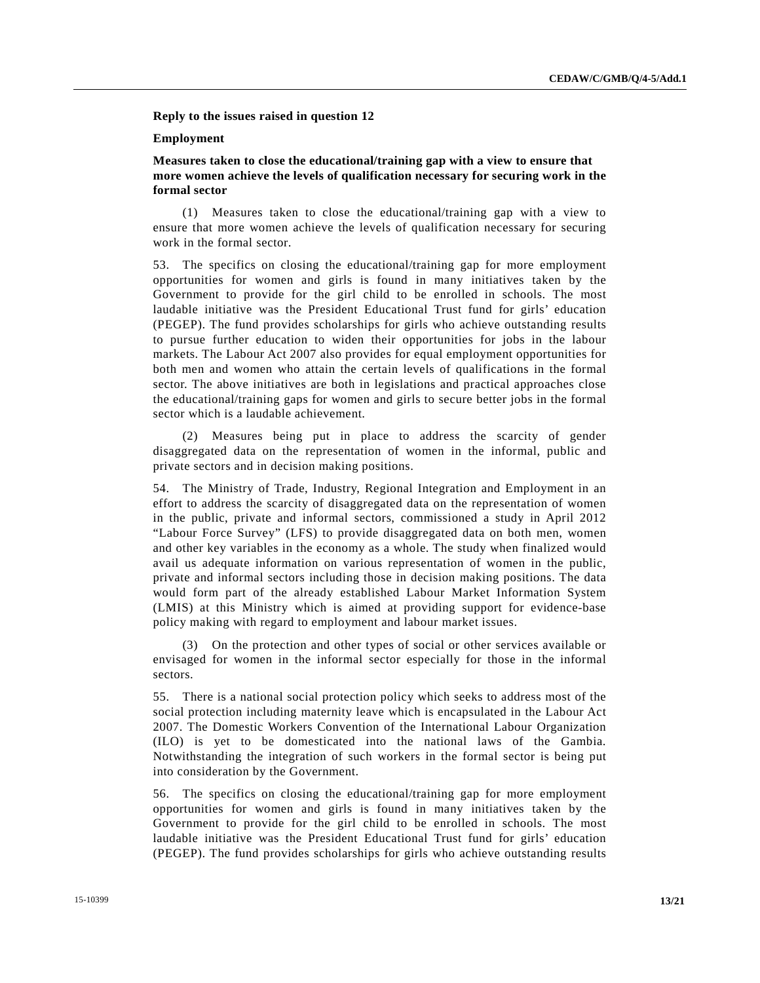**Reply to the issues raised in question 12** 

#### **Employment**

 **Measures taken to close the educational/training gap with a view to ensure that more women achieve the levels of qualification necessary for securing work in the formal sector** 

 (1) Measures taken to close the educational/training gap with a view to ensure that more women achieve the levels of qualification necessary for securing work in the formal sector.

53. The specifics on closing the educational/training gap for more employment opportunities for women and girls is found in many initiatives taken by the Government to provide for the girl child to be enrolled in schools. The most laudable initiative was the President Educational Trust fund for girls' education (PEGEP). The fund provides scholarships for girls who achieve outstanding results to pursue further education to widen their opportunities for jobs in the labour markets. The Labour Act 2007 also provides for equal employment opportunities for both men and women who attain the certain levels of qualifications in the formal sector. The above initiatives are both in legislations and practical approaches close the educational/training gaps for women and girls to secure better jobs in the formal sector which is a laudable achievement.

 (2) Measures being put in place to address the scarcity of gender disaggregated data on the representation of women in the informal, public and private sectors and in decision making positions.

54. The Ministry of Trade, Industry, Regional Integration and Employment in an effort to address the scarcity of disaggregated data on the representation of women in the public, private and informal sectors, commissioned a study in April 2012 "Labour Force Survey" (LFS) to provide disaggregated data on both men, women and other key variables in the economy as a whole. The study when finalized would avail us adequate information on various representation of women in the public, private and informal sectors including those in decision making positions. The data would form part of the already established Labour Market Information System (LMIS) at this Ministry which is aimed at providing support for evidence-base policy making with regard to employment and labour market issues.

 (3) On the protection and other types of social or other services available or envisaged for women in the informal sector especially for those in the informal sectors.

55. There is a national social protection policy which seeks to address most of the social protection including maternity leave which is encapsulated in the Labour Act 2007. The Domestic Workers Convention of the International Labour Organization (ILO) is yet to be domesticated into the national laws of the Gambia. Notwithstanding the integration of such workers in the formal sector is being put into consideration by the Government.

56. The specifics on closing the educational/training gap for more employment opportunities for women and girls is found in many initiatives taken by the Government to provide for the girl child to be enrolled in schools. The most laudable initiative was the President Educational Trust fund for girls' education (PEGEP). The fund provides scholarships for girls who achieve outstanding results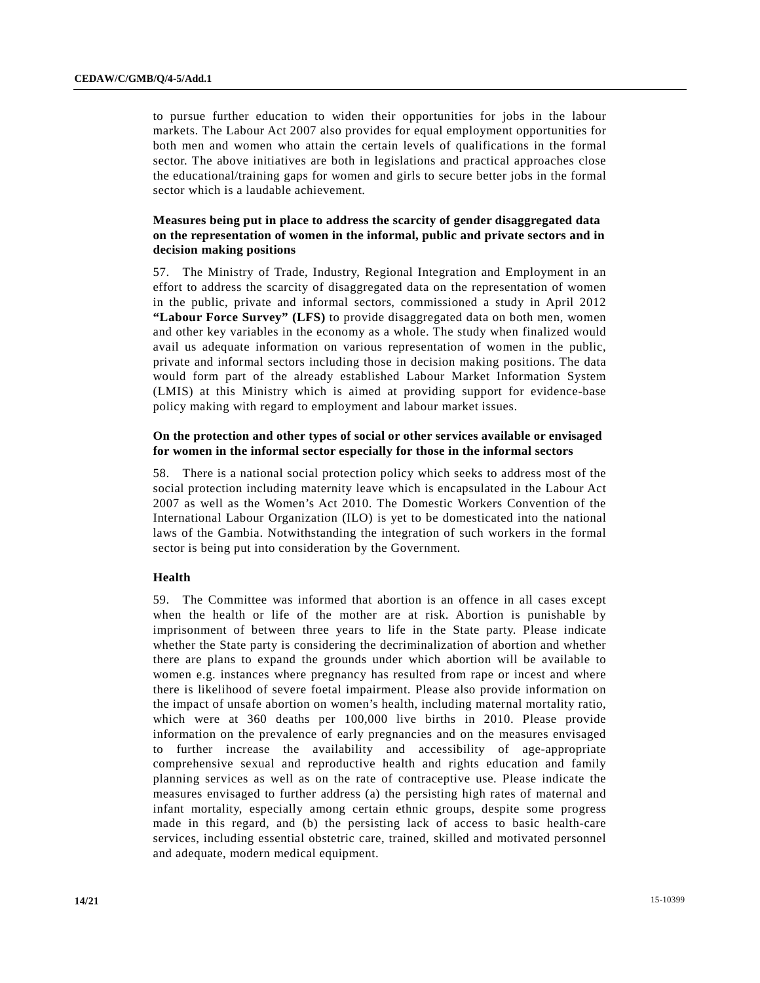to pursue further education to widen their opportunities for jobs in the labour markets. The Labour Act 2007 also provides for equal employment opportunities for both men and women who attain the certain levels of qualifications in the formal sector. The above initiatives are both in legislations and practical approaches close the educational/training gaps for women and girls to secure better jobs in the formal sector which is a laudable achievement.

## **Measures being put in place to address the scarcity of gender disaggregated data on the representation of women in the informal, public and private sectors and in decision making positions**

57. The Ministry of Trade, Industry, Regional Integration and Employment in an effort to address the scarcity of disaggregated data on the representation of women in the public, private and informal sectors, commissioned a study in April 2012 **"Labour Force Survey" (LFS)** to provide disaggregated data on both men, women and other key variables in the economy as a whole. The study when finalized would avail us adequate information on various representation of women in the public, private and informal sectors including those in decision making positions. The data would form part of the already established Labour Market Information System (LMIS) at this Ministry which is aimed at providing support for evidence-base policy making with regard to employment and labour market issues.

## **On the protection and other types of social or other services available or envisaged for women in the informal sector especially for those in the informal sectors**

58. There is a national social protection policy which seeks to address most of the social protection including maternity leave which is encapsulated in the Labour Act 2007 as well as the Women's Act 2010. The Domestic Workers Convention of the International Labour Organization (ILO) is yet to be domesticated into the national laws of the Gambia. Notwithstanding the integration of such workers in the formal sector is being put into consideration by the Government.

## **Health**

59. The Committee was informed that abortion is an offence in all cases except when the health or life of the mother are at risk. Abortion is punishable by imprisonment of between three years to life in the State party. Please indicate whether the State party is considering the decriminalization of abortion and whether there are plans to expand the grounds under which abortion will be available to women e.g. instances where pregnancy has resulted from rape or incest and where there is likelihood of severe foetal impairment. Please also provide information on the impact of unsafe abortion on women's health, including maternal mortality ratio, which were at 360 deaths per 100,000 live births in 2010. Please provide information on the prevalence of early pregnancies and on the measures envisaged to further increase the availability and accessibility of age-appropriate comprehensive sexual and reproductive health and rights education and family planning services as well as on the rate of contraceptive use. Please indicate the measures envisaged to further address (a) the persisting high rates of maternal and infant mortality, especially among certain ethnic groups, despite some progress made in this regard, and (b) the persisting lack of access to basic health-care services, including essential obstetric care, trained, skilled and motivated personnel and adequate, modern medical equipment.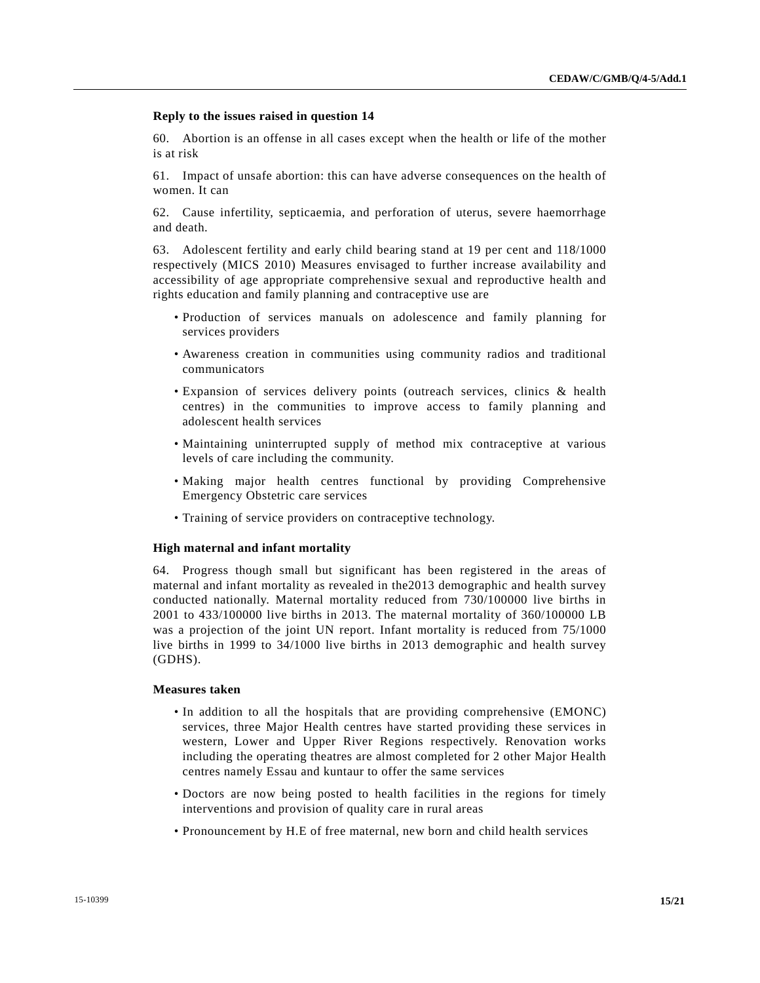#### **Reply to the issues raised in question 14**

60. Abortion is an offense in all cases except when the health or life of the mother is at risk

61. Impact of unsafe abortion: this can have adverse consequences on the health of women. It can

62. Cause infertility, septicaemia, and perforation of uterus, severe haemorrhage and death.

63. Adolescent fertility and early child bearing stand at 19 per cent and 118/1000 respectively (MICS 2010) Measures envisaged to further increase availability and accessibility of age appropriate comprehensive sexual and reproductive health and rights education and family planning and contraceptive use are

- Production of services manuals on adolescence and family planning for services providers
- Awareness creation in communities using community radios and traditional communicators
- Expansion of services delivery points (outreach services, clinics & health centres) in the communities to improve access to family planning and adolescent health services
- Maintaining uninterrupted supply of method mix contraceptive at various levels of care including the community.
- Making major health centres functional by providing Comprehensive Emergency Obstetric care services
- Training of service providers on contraceptive technology.

#### **High maternal and infant mortality**

64. Progress though small but significant has been registered in the areas of maternal and infant mortality as revealed in the2013 demographic and health survey conducted nationally. Maternal mortality reduced from 730/100000 live births in 2001 to 433/100000 live births in 2013. The maternal mortality of 360/100000 LB was a projection of the joint UN report. Infant mortality is reduced from  $75/1000$ live births in 1999 to 34/1000 live births in 2013 demographic and health survey (GDHS).

#### **Measures taken**

- In addition to all the hospitals that are providing comprehensive (EMONC) services, three Major Health centres have started providing these services in western, Lower and Upper River Regions respectively. Renovation works including the operating theatres are almost completed for 2 other Major Health centres namely Essau and kuntaur to offer the same services
- Doctors are now being posted to health facilities in the regions for timely interventions and provision of quality care in rural areas
- Pronouncement by H.E of free maternal, new born and child health services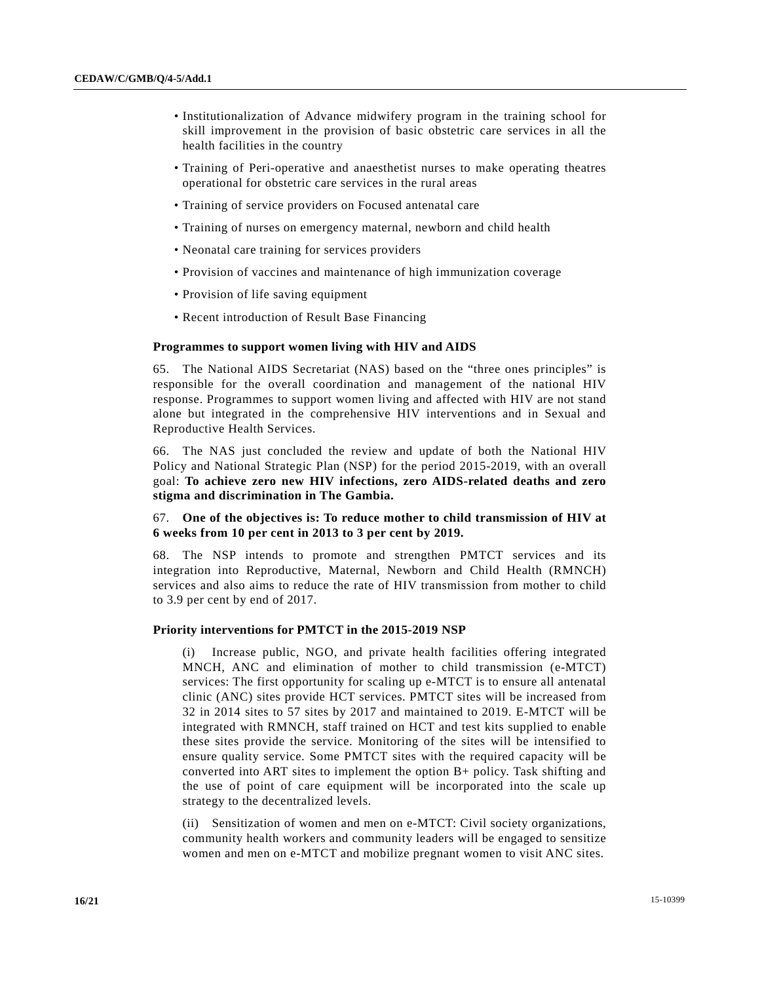- Institutionalization of Advance midwifery program in the training school for skill improvement in the provision of basic obstetric care services in all the health facilities in the country
- Training of Peri-operative and anaesthetist nurses to make operating theatres operational for obstetric care services in the rural areas
- Training of service providers on Focused antenatal care
- Training of nurses on emergency maternal, newborn and child health
- Neonatal care training for services providers
- Provision of vaccines and maintenance of high immunization coverage
- Provision of life saving equipment
- Recent introduction of Result Base Financing

#### **Programmes to support women living with HIV and AIDS**

65. The National AIDS Secretariat (NAS) based on the "three ones principles" is responsible for the overall coordination and management of the national HIV response. Programmes to support women living and affected with HIV are not stand alone but integrated in the comprehensive HIV interventions and in Sexual and Reproductive Health Services.

66. The NAS just concluded the review and update of both the National HIV Policy and National Strategic Plan (NSP) for the period 2015-2019, with an overall goal: **To achieve zero new HIV infections, zero AIDS-related deaths and zero stigma and discrimination in The Gambia.** 

## 67. **One of the objectives is: To reduce mother to child transmission of HIV at 6 weeks from 10 per cent in 2013 to 3 per cent by 2019.**

68. The NSP intends to promote and strengthen PMTCT services and its integration into Reproductive, Maternal, Newborn and Child Health (RMNCH) services and also aims to reduce the rate of HIV transmission from mother to child to 3.9 per cent by end of 2017.

#### **Priority interventions for PMTCT in the 2015-2019 NSP**

 (i) Increase public, NGO, and private health facilities offering integrated MNCH, ANC and elimination of mother to child transmission (e-MTCT) services: The first opportunity for scaling up e-MTCT is to ensure all antenatal clinic (ANC) sites provide HCT services. PMTCT sites will be increased from 32 in 2014 sites to 57 sites by 2017 and maintained to 2019. E-MTCT will be integrated with RMNCH, staff trained on HCT and test kits supplied to enable these sites provide the service. Monitoring of the sites will be intensified to ensure quality service. Some PMTCT sites with the required capacity will be converted into ART sites to implement the option B+ policy. Task shifting and the use of point of care equipment will be incorporated into the scale up strategy to the decentralized levels.

 (ii) Sensitization of women and men on e-MTCT: Civil society organizations, community health workers and community leaders will be engaged to sensitize women and men on e-MTCT and mobilize pregnant women to visit ANC sites.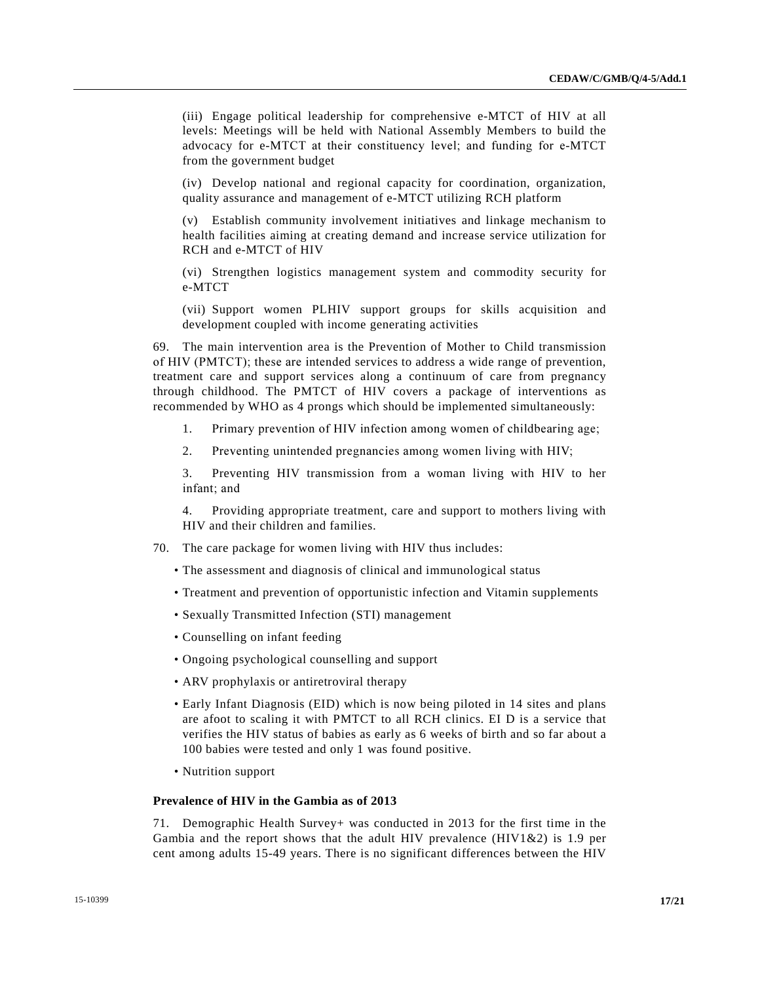(iii) Engage political leadership for comprehensive e-MTCT of HIV at all levels: Meetings will be held with National Assembly Members to build the advocacy for e-MTCT at their constituency level; and funding for e-MTCT from the government budget

 (iv) Develop national and regional capacity for coordination, organization, quality assurance and management of e-MTCT utilizing RCH platform

 (v) Establish community involvement initiatives and linkage mechanism to health facilities aiming at creating demand and increase service utilization for RCH and e-MTCT of HIV

 (vi) Strengthen logistics management system and commodity security for e-MTCT

 (vii) Support women PLHIV support groups for skills acquisition and development coupled with income generating activities

69. The main intervention area is the Prevention of Mother to Child transmission of HIV (PMTCT); these are intended services to address a wide range of prevention, treatment care and support services along a continuum of care from pregnancy through childhood. The PMTCT of HIV covers a package of interventions as recommended by WHO as 4 prongs which should be implemented simultaneously:

- 1. Primary prevention of HIV infection among women of childbearing age;
- 2. Preventing unintended pregnancies among women living with HIV;

 3. Preventing HIV transmission from a woman living with HIV to her infant; and

 4. Providing appropriate treatment, care and support to mothers living with HIV and their children and families.

- 70. The care package for women living with HIV thus includes:
	- The assessment and diagnosis of clinical and immunological status
	- Treatment and prevention of opportunistic infection and Vitamin supplements
	- Sexually Transmitted Infection (STI) management
	- Counselling on infant feeding
	- Ongoing psychological counselling and support
	- ARV prophylaxis or antiretroviral therapy
	- Early Infant Diagnosis (EID) which is now being piloted in 14 sites and plans are afoot to scaling it with PMTCT to all RCH clinics. EI D is a service that verifies the HIV status of babies as early as 6 weeks of birth and so far about a 100 babies were tested and only 1 was found positive.
	- Nutrition support

## **Prevalence of HIV in the Gambia as of 2013**

71. Demographic Health Survey+ was conducted in 2013 for the first time in the Gambia and the report shows that the adult HIV prevalence (HIV1&2) is 1.9 per cent among adults 15-49 years. There is no significant differences between the HIV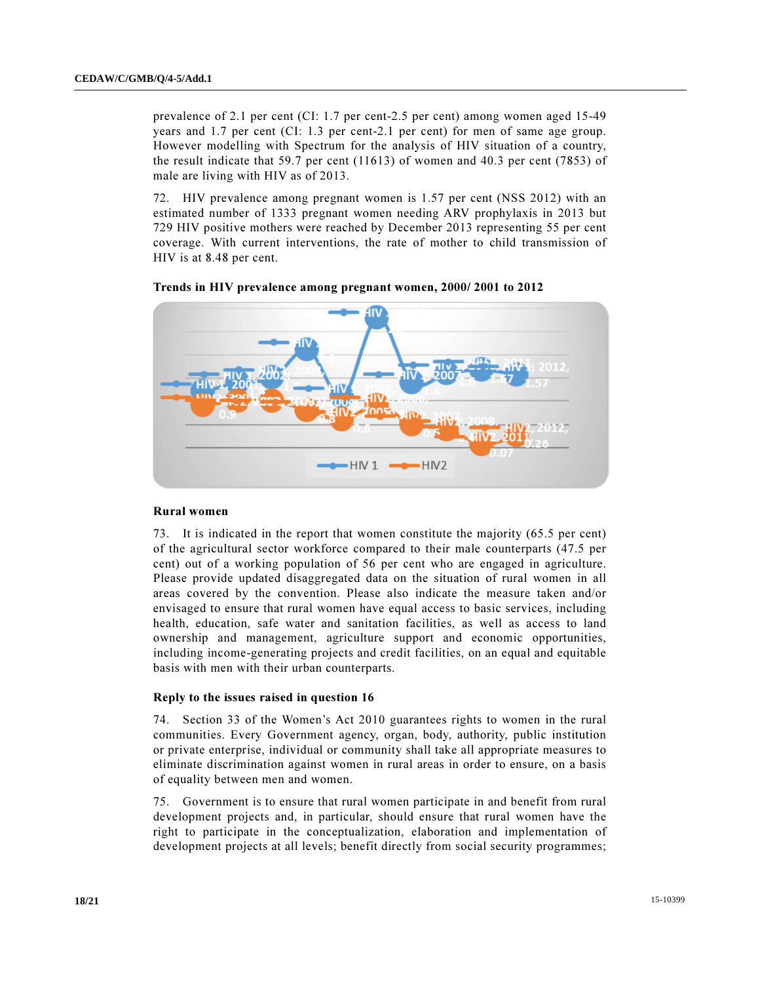prevalence of 2.1 per cent (CI: 1.7 per cent-2.5 per cent) among women aged 15-49 years and 1.7 per cent (CI: 1.3 per cent-2.1 per cent) for men of same age group. However modelling with Spectrum for the analysis of HIV situation of a country, the result indicate that 59.7 per cent (11613) of women and 40.3 per cent (7853) of male are living with HIV as of 2013.

72. HIV prevalence among pregnant women is 1.57 per cent (NSS 2012) with an estimated number of 1333 pregnant women needing ARV prophylaxis in 2013 but 729 HIV positive mothers were reached by December 2013 representing 55 per cent coverage. With current interventions, the rate of mother to child transmission of HIV is at 8.48 per cent.





#### Rural women

73. It is indicated in the report that women constitute the majority (65.5 per cent) of the agricultural sector workforce compared to their male counterparts (47.5 per cent) out of a working population of 56 per cent who are engaged in agriculture. Please provide updated disaggregated data on the situation of rural women in all areas covered by the convention. Please also indicate the measure taken and/or envisaged to ensure that rural women have equal access to basic services, including health, education, safe water and sanitation facilities, as well as access to land ownership and management, agriculture support and economic opportunities, including income-generating projects and credit facilities, on an equal and equitable basis with men with their urban counterparts.

#### Reply to the issues raised in question 16

74. Section 33 of the Women's Act 2010 guarantees rights to women in the rural communities. Every Government agency, organ, body, authority, public institution or private enterprise, individual or community shall take all appropriate measures to eliminate discrimination against women in rural areas in order to ensure, on a basis of equality between men and women.

75. Government is to ensure that rural women participate in and benefit from rural development projects and, in particular, should ensure that rural women have the right to participate in the conceptualization, elaboration and implementation of development projects at all levels; benefit directly from social security programmes;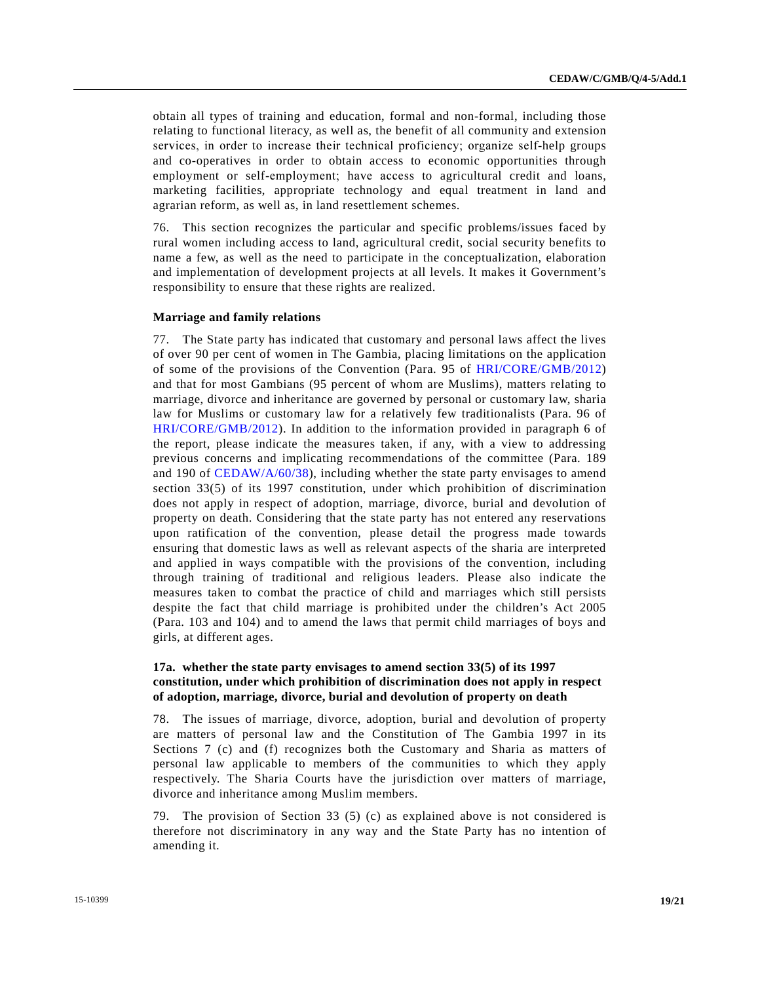obtain all types of training and education, formal and non-formal, including those relating to functional literacy, as well as, the benefit of all community and extension services, in order to increase their technical proficiency; organize self-help groups and co-operatives in order to obtain access to economic opportunities through employment or self-employment; have access to agricultural credit and loans, marketing facilities, appropriate technology and equal treatment in land and agrarian reform, as well as, in land resettlement schemes.

76. This section recognizes the particular and specific problems/issues faced by rural women including access to land, agricultural credit, social security benefits to name a few, as well as the need to participate in the conceptualization, elaboration and implementation of development projects at all levels. It makes it Government's responsibility to ensure that these rights are realized.

#### **Marriage and family relations**

77. The State party has indicated that customary and personal laws affect the lives of over 90 per cent of women in The Gambia, placing limitations on the application of some of the provisions of the Convention (Para. 95 of HRI/CORE/GMB/2012) and that for most Gambians (95 percent of whom are Muslims), matters relating to marriage, divorce and inheritance are governed by personal or customary law, sharia law for Muslims or customary law for a relatively few traditionalists (Para. 96 of HRI/CORE/GMB/2012). In addition to the information provided in paragraph 6 of the report, please indicate the measures taken, if any, with a view to addressing previous concerns and implicating recommendations of the committee (Para. 189 and 190 of CEDAW/A/60/38), including whether the state party envisages to amend section 33(5) of its 1997 constitution, under which prohibition of discrimination does not apply in respect of adoption, marriage, divorce, burial and devolution of property on death. Considering that the state party has not entered any reservations upon ratification of the convention, please detail the progress made towards ensuring that domestic laws as well as relevant aspects of the sharia are interpreted and applied in ways compatible with the provisions of the convention, including through training of traditional and religious leaders. Please also indicate the measures taken to combat the practice of child and marriages which still persists despite the fact that child marriage is prohibited under the children's Act 2005 (Para. 103 and 104) and to amend the laws that permit child marriages of boys and girls, at different ages.

## **17a. whether the state party envisages to amend section 33(5) of its 1997 constitution, under which prohibition of discrimination does not apply in respect of adoption, marriage, divorce, burial and devolution of property on death**

78. The issues of marriage, divorce, adoption, burial and devolution of property are matters of personal law and the Constitution of The Gambia 1997 in its Sections 7 (c) and (f) recognizes both the Customary and Sharia as matters of personal law applicable to members of the communities to which they apply respectively. The Sharia Courts have the jurisdiction over matters of marriage, divorce and inheritance among Muslim members.

79. The provision of Section 33 (5) (c) as explained above is not considered is therefore not discriminatory in any way and the State Party has no intention of amending it.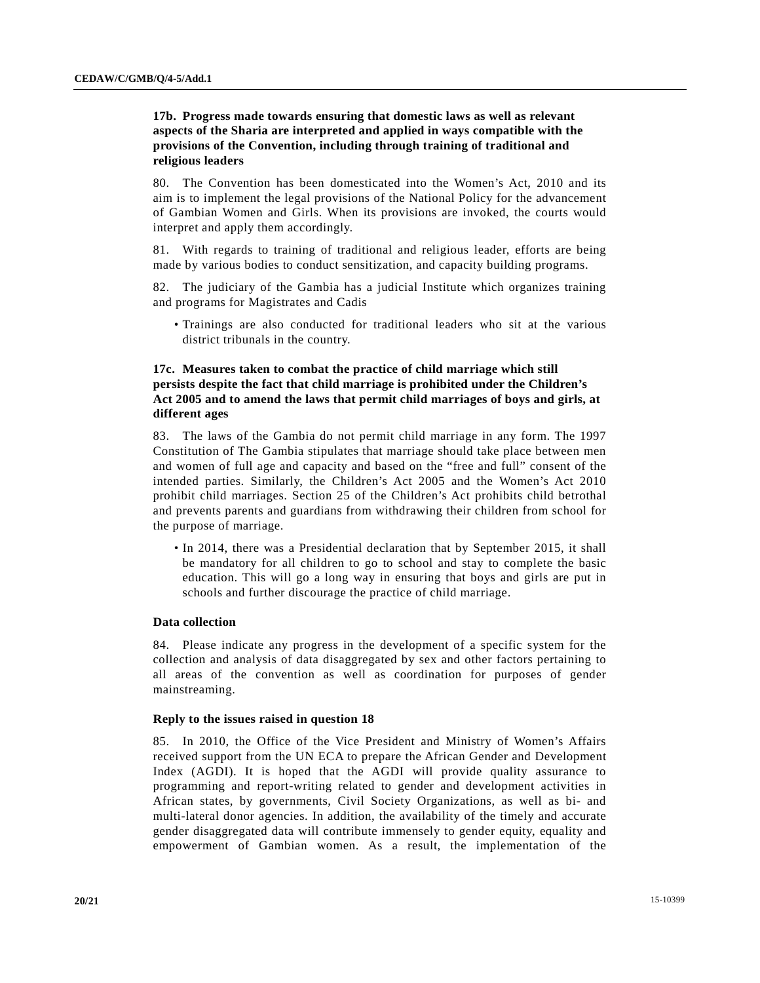## **17b. Progress made towards ensuring that domestic laws as well as relevant aspects of the Sharia are interpreted and applied in ways compatible with the provisions of the Convention, including through training of traditional and religious leaders**

80. The Convention has been domesticated into the Women's Act, 2010 and its aim is to implement the legal provisions of the National Policy for the advancement of Gambian Women and Girls. When its provisions are invoked, the courts would interpret and apply them accordingly.

81. With regards to training of traditional and religious leader, efforts are being made by various bodies to conduct sensitization, and capacity building programs.

82. The judiciary of the Gambia has a judicial Institute which organizes training and programs for Magistrates and Cadis

 • Trainings are also conducted for traditional leaders who sit at the various district tribunals in the country.

## **17c. Measures taken to combat the practice of child marriage which still persists despite the fact that child marriage is prohibited under the Children's Act 2005 and to amend the laws that permit child marriages of boys and girls, at different ages**

83. The laws of the Gambia do not permit child marriage in any form. The 1997 Constitution of The Gambia stipulates that marriage should take place between men and women of full age and capacity and based on the "free and full" consent of the intended parties. Similarly, the Children's Act 2005 and the Women's Act 2010 prohibit child marriages. Section 25 of the Children's Act prohibits child betrothal and prevents parents and guardians from withdrawing their children from school for the purpose of marriage.

 • In 2014, there was a Presidential declaration that by September 2015, it shall be mandatory for all children to go to school and stay to complete the basic education. This will go a long way in ensuring that boys and girls are put in schools and further discourage the practice of child marriage.

## **Data collection**

84. Please indicate any progress in the development of a specific system for the collection and analysis of data disaggregated by sex and other factors pertaining to all areas of the convention as well as coordination for purposes of gender mainstreaming.

#### **Reply to the issues raised in question 18**

85. In 2010, the Office of the Vice President and Ministry of Women's Affairs received support from the UN ECA to prepare the African Gender and Development Index (AGDI). It is hoped that the AGDI will provide quality assurance to programming and report-writing related to gender and development activities in African states, by governments, Civil Society Organizations, as well as bi- and multi-lateral donor agencies. In addition, the availability of the timely and accurate gender disaggregated data will contribute immensely to gender equity, equality and empowerment of Gambian women. As a result, the implementation of the